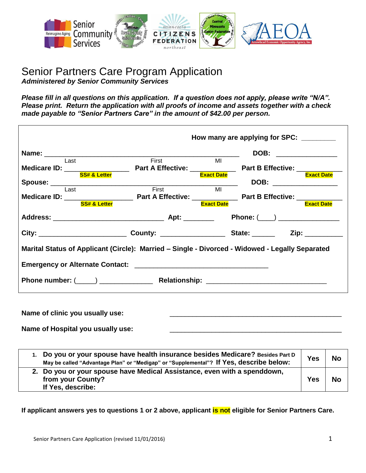

#### Senior Partners Care Program Application *Administered by Senior Community Services*

*Please fill in all questions on this application. If a question does not apply, please write "N/A". Please print. Return the application with all proofs of income and assets together with a check made payable to "Senior Partners Care" in the amount of \$42.00 per person.*

|                                                                                                 |       |                   | How many are applying for SPC:  |
|-------------------------------------------------------------------------------------------------|-------|-------------------|---------------------------------|
|                                                                                                 |       |                   | DOB: ______________             |
| <b>Example 1</b>                                                                                | First | MI                |                                 |
|                                                                                                 |       |                   |                                 |
| <b>SS# &amp; Letter</b>                                                                         |       | <b>Exact Date</b> | <b>Exact Date</b>               |
|                                                                                                 |       |                   | DOB: ________________           |
| Last                                                                                            | First | MI                |                                 |
|                                                                                                 |       |                   |                                 |
| <b>SS# &amp; Letter</b>                                                                         |       | <b>Exact Date</b> | <b>Exact Date</b>               |
|                                                                                                 |       |                   | Phone: (____) _________________ |
|                                                                                                 |       |                   |                                 |
| Marital Status of Applicant (Circle): Married – Single - Divorced - Widowed - Legally Separated |       |                   |                                 |
|                                                                                                 |       |                   |                                 |
|                                                                                                 |       |                   |                                 |
|                                                                                                 |       |                   |                                 |

Name of clinic you usually use:

Name of Hospital you usually use:

| 1. Do you or your spouse have health insurance besides Medicare? Besides Part D<br>May be called "Advantage Plan" or "Medigap" or "Supplemental"? If Yes, describe below: | <b>Yes</b> | <b>No</b> |
|---------------------------------------------------------------------------------------------------------------------------------------------------------------------------|------------|-----------|
| 2. Do you or your spouse have Medical Assistance, even with a spenddown,<br>from your County?<br>If Yes, describe:                                                        | <b>Yes</b> | <b>No</b> |

**If applicant answers yes to questions 1 or 2 above, applicant is not eligible for Senior Partners Care.**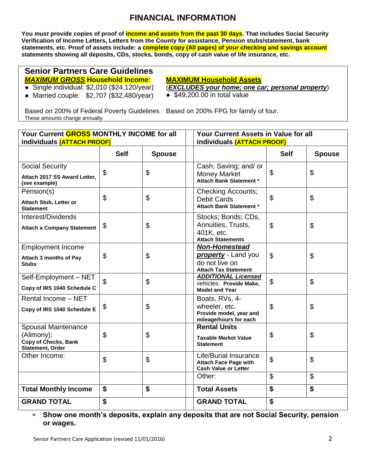## **FINANCIAL INFORMATION**

**You** *must* **provide copies of proof of income and assets from the past 30 days. That includes Social Security Verification of Income Letters, Letters from the County for assistance, Pension stubs/statement, bank statements, etc. Proof of assets include: a complete copy (All pages) of your checking and savings account statements showing all deposits, CDs, stocks, bonds, copy of cash value of life insurance, etc.**

#### **Senior Partners Care Guidelines**  *MAXIMUM GROSS* **Household Income**:

**MAXIMUM Household Assets**

- Single individual:  $$2,010$  ( $$24,120$ /year)
- Married couple: \$2,707 (\$32,480/year)

(*EXCLUDES your home; one car; personal property*)

 $\bullet$  \$49,200.00 in total value

Based on 200% of Federal Poverty Guidelines Based on 200% FPG for family of four. These amounts change annually.

| Your Current GROSS MONTHLY INCOME for all                                            |                            | <b>Your Current Assets in Value for all</b> |                                                                                                     |                |                |
|--------------------------------------------------------------------------------------|----------------------------|---------------------------------------------|-----------------------------------------------------------------------------------------------------|----------------|----------------|
|                                                                                      | individuals (ATTACH PROOF) |                                             | individuals (ATTACH PROOF)                                                                          |                |                |
|                                                                                      | <b>Self</b>                | <b>Spouse</b>                               |                                                                                                     | <b>Self</b>    | <b>Spouse</b>  |
| <b>Social Security</b><br>Attach 2017 SS Award Letter,<br>(see example)              | \$                         | \$                                          | Cash; Saving; and/ or<br><b>Money Market</b><br>Attach Bank Statement *                             | \$             | \$             |
| Pension(s)<br><b>Attach Stub, Letter or</b><br><b>Statement</b>                      | $\mathfrak{L}$             | $\mathfrak{P}$                              | <b>Checking Accounts;</b><br><b>Debit Cards</b><br>Attach Bank Statement *                          | $\mathfrak{S}$ | \$             |
| Interest/Dividends<br><b>Attach a Company Statement</b>                              | \$                         | \$                                          | Stocks; Bonds; CDs,<br>Annuities, Trusts,<br>401K, etc.<br><b>Attach Statements</b>                 | $\mathfrak{S}$ | \$             |
| <b>Employment Income</b><br>Attach 3 months of Pay<br><b>Stubs</b>                   | \$                         | \$                                          | <b>Non-Homestead</b><br><b>property</b> - Land you<br>do not live on<br><b>Attach Tax Statement</b> | $\mathfrak{L}$ | \$             |
| Self-Employment - NET<br>Copy of IRS 1040 Schedule C                                 | $\mathfrak{L}$             | \$                                          | <b>ADDITIONAL Licensed</b><br>vehicles: Provide Make,<br><b>Model and Year</b>                      | \$             | $\mathfrak{L}$ |
| Rental Income - NET<br>Copy of IRS 1040 Schedule E                                   | \$                         | \$                                          | Boats, RVs, 4-<br>wheeler, etc.<br>Provide model, year and<br>mileage/hours for each                | \$             | \$             |
| Spousal Maintenance<br>(Alimony):<br>Copy of Checks, Bank<br><b>Statement, Order</b> | \$                         | \$                                          | <b>Rental Units</b><br><b>Taxable Market Value</b><br><b>Statement</b>                              | \$             | \$             |
| Other Income:                                                                        | \$                         | \$                                          | <b>Life/Burial Insurance</b><br><b>Attach Face Page with</b><br><b>Cash Value or Letter</b>         | \$             | \$             |
|                                                                                      |                            |                                             | Other:                                                                                              | $\mathfrak{L}$ | $\mathfrak{L}$ |
| <b>Total Monthly Income</b>                                                          | \$                         | \$                                          | <b>Total Assets</b>                                                                                 | \$             | \$             |
| <b>GRAND TOTAL</b>                                                                   | \$                         |                                             | <b>GRAND TOTAL</b>                                                                                  | \$             |                |

 **Show one month's deposits, explain any deposits that are not Social Security, pension or wages.**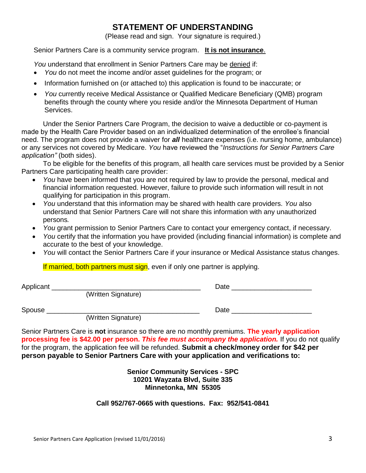## **STATEMENT OF UNDERSTANDING**

(Please read and sign. Your signature is required.)

Senior Partners Care is a community service program. **It is not insurance**.

*You* understand that enrollment in Senior Partners Care may be denied if:

- *You* do not meet the income and/or asset guidelines for the program; or
- Information furnished on (or attached to) this application is found to be inaccurate; or
- *You* currently receive Medical Assistance or Qualified Medicare Beneficiary (QMB) program benefits through the county where you reside and/or the Minnesota Department of Human Services.

Under the Senior Partners Care Program, the decision to waive a deductible or co-payment is made by the Health Care Provider based on an individualized determination of the enrollee's financial need. The program does not provide a waiver for *all* healthcare expenses (i.e. nursing home, ambulance) or any services not covered by Medicare. *You* have reviewed the "*Instructions for Senior Partners Care application"* (both sides).

To be eligible for the benefits of this program, all health care services must be provided by a Senior Partners Care participating health care provider:

- *You* have been informed that you are not required by law to provide the personal, medical and financial information requested. However, failure to provide such information will result in not qualifying for participation in this program.
- *You* understand that this information may be shared with health care providers. *You* also understand that Senior Partners Care will not share this information with any unauthorized persons*.*
- *You* grant permission to Senior Partners Care to contact your emergency contact, if necessary.
- *You* certify that the information you have provided (including financial information) is complete and accurate to the best of your knowledge.
- *You* will contact the Senior Partners Care if your insurance or Medical Assistance status changes.

If married, both partners must sign, even if only one partner is applying.

| Applicant |                     | Date |  |
|-----------|---------------------|------|--|
|           | (Written Signature) |      |  |
| Spouse    |                     | Date |  |
|           | (Written Signature) |      |  |

Senior Partners Care is **not** insurance so there are no monthly premiums. **The yearly application processing fee is \$42.00 per person.** *This fee must accompany the application.* If you do not qualify for the program, the application fee will be refunded. **Submit a check/money order for \$42 per person payable to Senior Partners Care with your application and verifications to:** 

> **Senior Community Services - SPC 10201 Wayzata Blvd, Suite 335 Minnetonka, MN 55305**

**Call 952/767-0665 with questions. Fax: 952/541-0841**